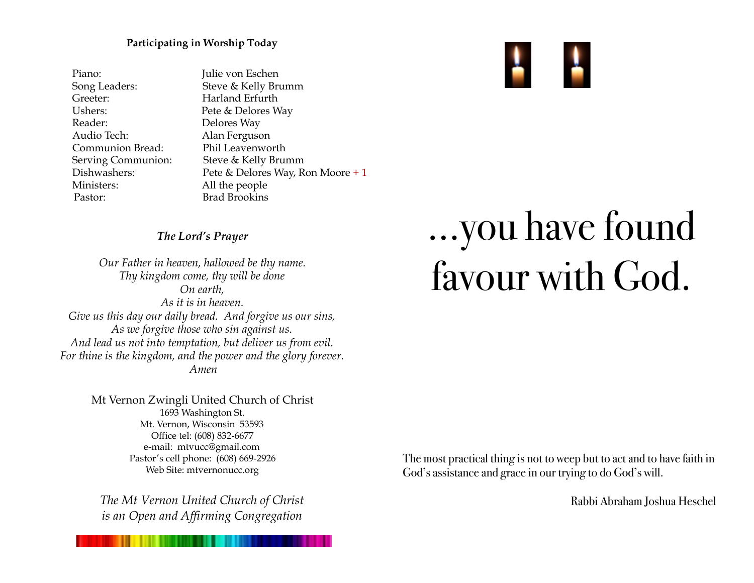#### **Participating in Worship Today**

Piano: Julie von Eschen Greeter: Harland Erfurth Ushers: Pete & Delores Way Reader: Delores Way Audio Tech: Alan Ferguson Communion Bread: Phil Leavenworth Ministers: All the people Pastor: Brad Brookins

Song Leaders: Steve & Kelly Brumm Serving Communion: Steve & Kelly Brumm Dishwashers: Pete & Delores Way, Ron Moore + 1

#### *The Lord's Prayer*

*Our Father in heaven, hallowed be thy name. Thy kingdom come, thy will be done On earth, As it is in heaven. Give us this day our daily bread. And forgive us our sins, As we forgive those who sin against us. And lead us not into temptation, but deliver us from evil. For thine is the kingdom, and the power and the glory forever. Amen*

> Mt Vernon Zwingli United Church of Christ 1693 Washington St. Mt. Vernon, Wisconsin 53593 Office tel: (608) 832-6677 e-mail: mtvucc@gmail.com Pastor's cell phone: (608) 669-2926 Web Site: [mtvernonucc.org](http://mtvernonucc.org)

*The Mt Vernon United Church of Christ is an Open and Affirming Congregation*

# …you have found favour with God.

The most practical thing is not to weep but to act and to have faith in God's assistance and grace in our trying to do God's will.

Rabbi Abraham Joshua Heschel

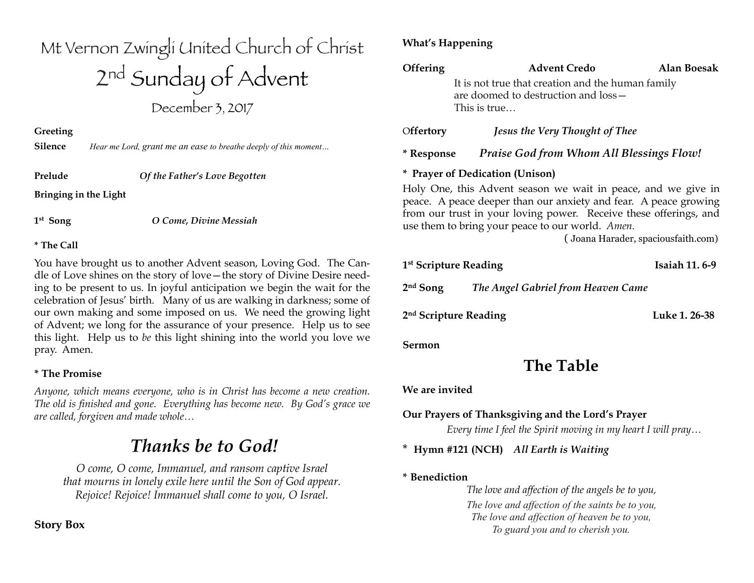# Mt Vernon Zwingli United Church of Christ 2nd Sunday of Advent December 3, 2017

**Greeting** 

**Silence** *Hear me Lord, grant me an ease to breathe deeply of this moment…*

**Prelude** *Of the Father's Love Begotten*

**Bringing in the Light**

**1st Song** *O Come, Divine Messiah*

#### **\* The Call**

You have brought us to another Advent season, Loving God. The Candle of Love shines on the story of love—the story of Divine Desire needing to be present to us. In joyful anticipation we begin the wait for the celebration of Jesus' birth. Many of us are walking in darkness; some of our own making and some imposed on us. We need the growing light of Advent; we long for the assurance of your presence. Help us to see this light. Help us to *be* this light shining into the world you love we pray. Amen.

#### **\* The Promise**

*Anyone, which means everyone, who is in Christ has become a new creation. The old is finished and gone. Everything has become new. By God's grace we are called, forgiven and made whole…*

# *Thanks be to God!*

*O come, O come, Immanuel, and ransom captive Israel that mourns in lonely exile here until the Son of God appear. Rejoice! Rejoice! Immanuel shall come to you, O Israel.*

#### **Story Box**

#### **What's Happening**

| Offering   | <b>Advent Credo</b>                                                                                       | Alan Boesak |  |
|------------|-----------------------------------------------------------------------------------------------------------|-------------|--|
|            | It is not true that creation and the human family<br>are doomed to destruction and loss -<br>This is true |             |  |
| Offertory  | <b>Jesus the Very Thought of Thee</b>                                                                     |             |  |
| * Response | <b>Praise God from Whom All Blessings Flow!</b>                                                           |             |  |

#### **\* Prayer of Dedication (Unison)**

Holy One, this Advent season we wait in peace, and we give in peace. A peace deeper than our anxiety and fear. A peace growing from our trust in your loving power. Receive these offerings, and use them to bring your peace to our world. *Amen.* 

( Joana Harader, spaciousfaith.com)

| 1 <sup>st</sup> Scripture Reading |                                    | <b>Isaiah 11.6-9</b> |
|-----------------------------------|------------------------------------|----------------------|
| $2nd$ Song                        | The Angel Gabriel from Heaven Came |                      |
| 2 <sup>nd</sup> Scripture Reading |                                    | Luke 1, 26-38        |

#### **Sermon**

## **The Table**

#### **We are invited**

#### **Our Prayers of Thanksgiving and the Lord's Prayer**

*Every time I feel the Spirit moving in my heart I will pray…*

\* **Hymn #121 (NCH)** *All Earth is Waiting*

#### **\* Benediction**

*The love and affection of the angels be to you, The love and affection of the saints be to you, The love and affection of heaven be to you, To guard you and to cherish you.*